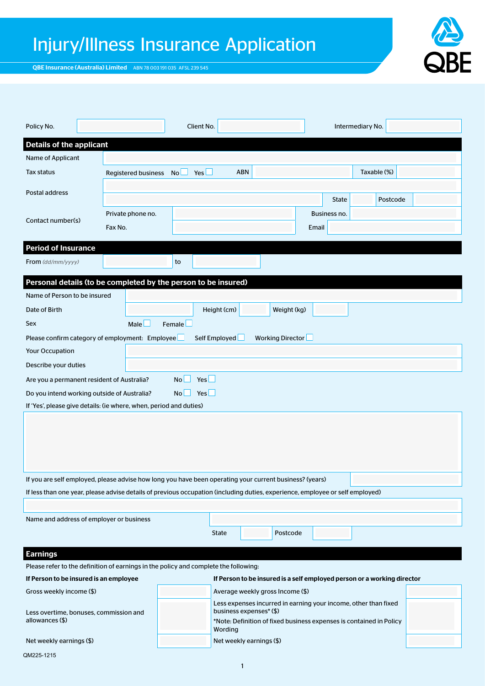# Injury/Illness Insurance Application

QBE Insurance (Australia) Limited ABN 78 003 191 035 AFSL 239 545

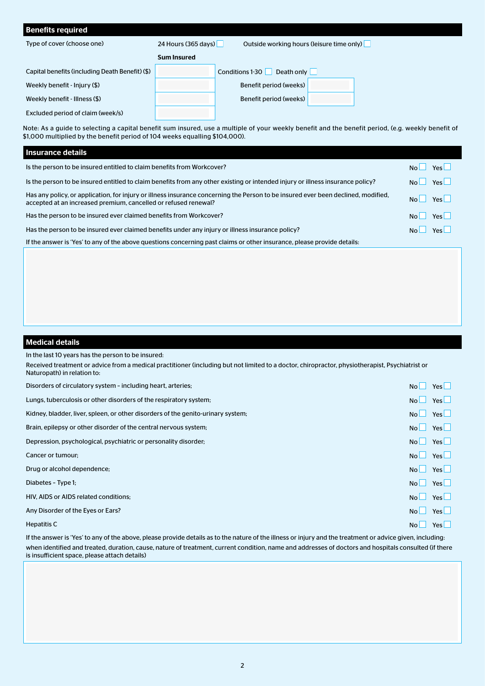| <b>Benefits required</b>                        |                                                                  |                               |  |  |
|-------------------------------------------------|------------------------------------------------------------------|-------------------------------|--|--|
| Type of cover (choose one)                      | 24 Hours (365 days)<br>Outside working hours (leisure time only) |                               |  |  |
|                                                 | <b>Sum Insured</b>                                               |                               |  |  |
| Capital benefits (including Death Benefit) (\$) |                                                                  | Death only<br>Conditions 1-30 |  |  |
| Weekly benefit - Injury (\$)                    |                                                                  | Benefit period (weeks)        |  |  |
| Weekly benefit - Illness (\$)                   |                                                                  | Benefit period (weeks)        |  |  |
|                                                 |                                                                  |                               |  |  |

Excluded period of claim (week/s)

Note: As a guide to selecting a capital benefit sum insured, use a multiple of your weekly benefit and the benefit period, (e.g. weekly benefit of \$1,000 multiplied by the benefit period of 104 weeks equalling \$104,000).

## Insurance details

| Is the person to be insured entitled to claim benefits from Workcover?                                                                                                                               | Yes                 |
|------------------------------------------------------------------------------------------------------------------------------------------------------------------------------------------------------|---------------------|
| Is the person to be insured entitled to claim benefits from any other existing or intended injury or illness insurance policy?                                                                       | <b>Yes</b>          |
| Has any policy, or application, for injury or illness insurance concerning the Person to be insured ever been declined, modified,<br>accepted at an increased premium, cancelled or refused renewal? | $N_0$   $Y_{PS}$    |
| Has the person to be insured ever claimed benefits from Workcover?                                                                                                                                   | <b>Yes</b><br>$N_0$ |
| Has the person to be insured ever claimed benefits under any injury or illness insurance policy?                                                                                                     | Yes <sup>1</sup>    |
| If the answer is 'Yes' to any of the above questions concerning past claims or other insurance, please provide details:                                                                              |                     |

## Medical details

In the last 10 years has the person to be insured:

Received treatment or advice from a medical practitioner (including but not limited to a doctor, chiropractor, physiotherapist, Psychiatrist or Naturopath) in relation to:

| Disorders of circulatory system - including heart, arteries;                     | No L                   | Yes $\Box$ |
|----------------------------------------------------------------------------------|------------------------|------------|
| Lungs, tuberculosis or other disorders of the respiratory system;                | No                     | Yes $\Box$ |
| Kidney, bladder, liver, spleen, or other disorders of the genito-urinary system; | No                     | Yes $\Box$ |
| Brain, epilepsy or other disorder of the central nervous system;                 | No                     | Yes $\Box$ |
| Depression, psychological, psychiatric or personality disorder;                  | N <sub>O</sub>         | Yes $\Box$ |
| Cancer or tumour;                                                                | No                     | $Yes \Box$ |
| Drug or alcohol dependence;                                                      | N <sub>O</sub>         | Yes $\Box$ |
| Diabetes - Type 1;                                                               | $\overline{N_{\rm O}}$ | Yes $\Box$ |
| HIV, AIDS or AIDS related conditions;                                            | No                     | Yes $\Box$ |
| Any Disorder of the Eyes or Ears?                                                | No                     | Yes $\Box$ |
| Hepatitis C                                                                      | NoL                    | Yes        |

If the answer is 'Yes' to any of the above, please provide details as to the nature of the illness or injury and the treatment or advice given, including: when identified and treated, duration, cause, nature of treatment, current condition, name and addresses of doctors and hospitals consulted (if there is insufficient space, please attach details)